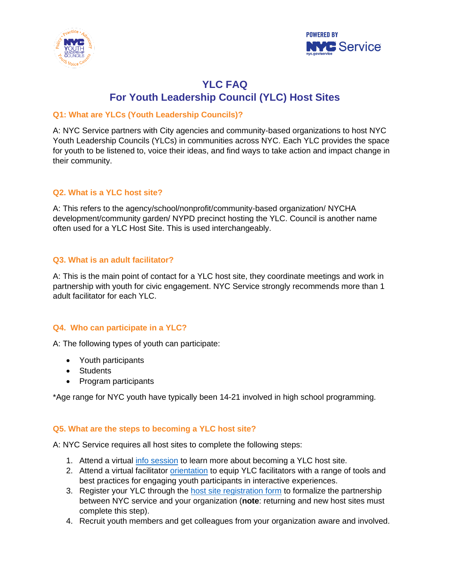



# **YLC FAQ For Youth Leadership Council (YLC) Host Sites**

# **Q1: What are YLCs (Youth Leadership Councils)?**

A: NYC Service partners with City agencies and community-based organizations to host NYC Youth Leadership Councils (YLCs) in communities across NYC. Each YLC provides the space for youth to be listened to, voice their ideas, and find ways to take action and impact change in their community.

# **Q2. What is a YLC host site?**

A: This refers to the agency/school/nonprofit/community-based organization/ NYCHA development/community garden/ NYPD precinct hosting the YLC. Council is another name often used for a YLC Host Site. This is used interchangeably.

## **Q3. What is an adult facilitator?**

A: This is the main point of contact for a YLC host site, they coordinate meetings and work in partnership with youth for civic engagement. NYC Service strongly recommends more than 1 adult facilitator for each YLC.

## **Q4. Who can participate in a YLC?**

A: The following types of youth can participate:

- Youth participants
- Students
- Program participants

\*Age range for NYC youth have typically been 14-21 involved in high school programming.

## **Q5. What are the steps to becoming a YLC host site?**

A: NYC Service requires all host sites to complete the following steps:

- 1. Attend a virtual [info session](https://www.surveygizmo.com/s3/5014611/2019-2020-YLC-Information-Session) to learn more about becoming a YLC host site.
- 2. Attend a virtual facilitator *orientation* to equip YLC facilitators with a range of tools and best practices for engaging youth participants in interactive experiences.
- 3. Register your YLC through the [host site registration form](https://www.surveygizmo.com/s3/5798903/YLC-FY21-2020-2021-Host-Site-Registration) to formalize the partnership between NYC service and your organization (**note**: returning and new host sites must complete this step).
- 4. Recruit youth members and get colleagues from your organization aware and involved.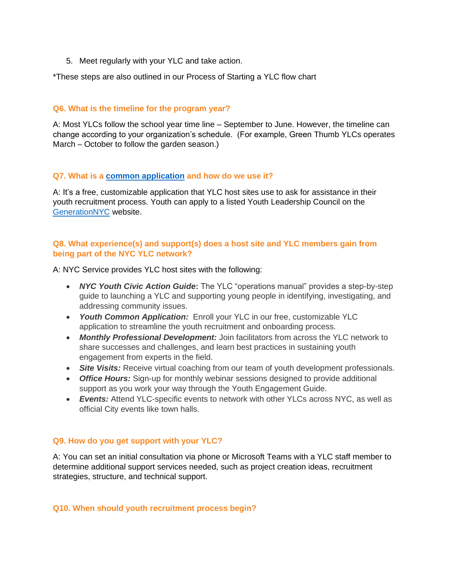5. Meet regularly with your YLC and take action.

\*These steps are also outlined in our Process of Starting a YLC flow chart

### **Q6. What is the timeline for the program year?**

A: Most YLCs follow the school year time line – September to June. However, the timeline can change according to your organization's schedule. (For example, Green Thumb YLCs operates March – October to follow the garden season.)

### **Q7. What is a [common application](https://www.surveygizmo.com/s3/5801117/FY21-YLC-Host-Site-Common-Application-Form) and how do we use it?**

A: It's a free, customizable application that YLC host sites use to ask for assistance in their youth recruitment process. Youth can apply to a listed Youth Leadership Council on the [GenerationNYC](https://growinguptest.wpengine.com/generationnyc/ylc-application/) website.

# **Q8. What experience(s) and support(s) does a host site and YLC members gain from being part of the NYC YLC network?**

A: NYC Service provides YLC host sites with the following:

- *NYC Youth Civic Action Guide***:** The YLC "operations manual" provides a step-by-step guide to launching a YLC and supporting young people in identifying, investigating, and addressing community issues.
- *Youth Common Application:* Enroll your YLC in our free, customizable YLC application to streamline the youth recruitment and onboarding process.
- *Monthly Professional Development:* Join facilitators from across the YLC network to share successes and challenges, and learn best practices in sustaining youth engagement from experts in the field.
- **Site Visits:** Receive virtual coaching from our team of youth development professionals.
- *Office Hours:* Sign-up for monthly webinar sessions designed to provide additional support as you work your way through the Youth Engagement Guide.
- *Events:* Attend YLC-specific events to network with other YLCs across NYC, as well as official City events like town halls.

## **Q9. How do you get support with your YLC?**

A: You can set an initial consultation via phone or Microsoft Teams with a YLC staff member to determine additional support services needed, such as project creation ideas, recruitment strategies, structure, and technical support.

#### **Q10. When should youth recruitment process begin?**